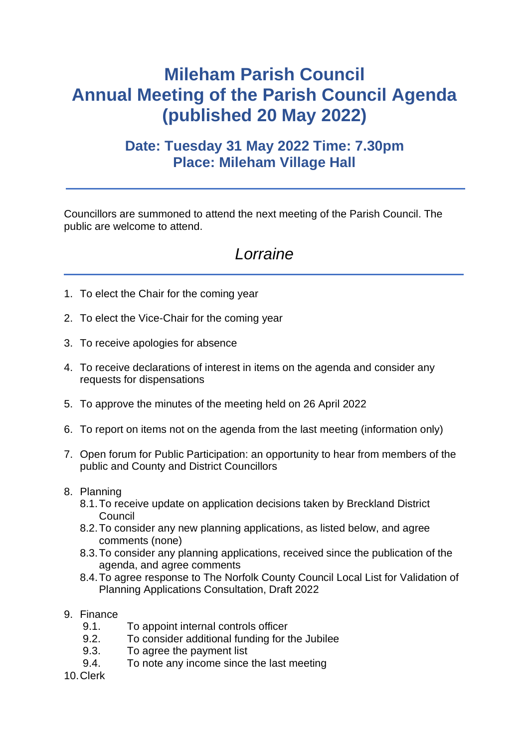## **Mileham Parish Council Annual Meeting of the Parish Council Agenda (published 20 May 2022)**

## **Date: Tuesday 31 May 2022 Time: 7.30pm Place: Mileham Village Hall**

Councillors are summoned to attend the next meeting of the Parish Council. The public are welcome to attend.

## *Lorraine*

- 1. To elect the Chair for the coming year
- 2. To elect the Vice-Chair for the coming year
- 3. To receive apologies for absence
- 4. To receive declarations of interest in items on the agenda and consider any requests for dispensations
- 5. To approve the minutes of the meeting held on 26 April 2022
- 6. To report on items not on the agenda from the last meeting (information only)
- 7. Open forum for Public Participation: an opportunity to hear from members of the public and County and District Councillors
- 8. Planning
	- 8.1.To receive update on application decisions taken by Breckland District **Council**
	- 8.2.To consider any new planning applications, as listed below, and agree comments (none)
	- 8.3.To consider any planning applications, received since the publication of the agenda, and agree comments
	- 8.4.To agree response to The Norfolk County Council Local List for Validation of Planning Applications Consultation, Draft 2022
- 9. Finance
	- 9.1. To appoint internal controls officer
	- 9.2. To consider additional funding for the Jubilee
	- 9.3. To agree the payment list
	- 9.4. To note any income since the last meeting
- 10.Clerk